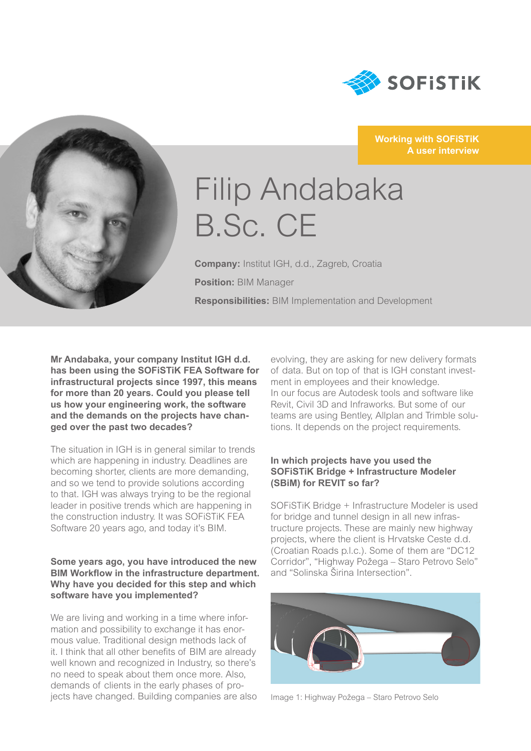

#### **Working with SOFiSTiK A user interview**



# Filip Andabaka B.Sc. CE

**Company:** Institut IGH, d.d., Zagreb, Croatia **Position:** BIM Manager **Responsibilities:** BIM Implementation and Development

**Mr Andabaka, your company Institut IGH d.d. has been using the SOFiSTiK FEA Software for infrastructural projects since 1997, this means for more than 20 years. Could you please tell us how your engineering work, the software and the demands on the projects have changed over the past two decades?**

The situation in IGH is in general similar to trends which are happening in industry. Deadlines are becoming shorter, clients are more demanding, and so we tend to provide solutions according to that. IGH was always trying to be the regional leader in positive trends which are happening in the construction industry. It was SOFiSTiK FEA Software 20 years ago, and today it's BIM.

#### **Some years ago, you have introduced the new BIM Workflow in the infrastructure department. Why have you decided for this step and which software have you implemented?**

We are living and working in a time where information and possibility to exchange it has enormous value. Traditional design methods lack of it. I think that all other benefits of BIM are already well known and recognized in Industry, so there's no need to speak about them once more. Also, demands of clients in the early phases of projects have changed. Building companies are also evolving, they are asking for new delivery formats of data. But on top of that is IGH constant investment in employees and their knowledge. In our focus are Autodesk tools and software like Revit, Civil 3D and Infraworks. But some of our teams are using Bentley, Allplan and Trimble solutions. It depends on the project requirements.

#### **In which projects have you used the SOFiSTiK Bridge + Infrastructure Modeler (SBiM) for REVIT so far?**

SOFiSTiK Bridge + Infrastructure Modeler is used for bridge and tunnel design in all new infrastructure projects. These are mainly new highway projects, where the client is Hrvatske Ceste d.d. (Croatian Roads p.l.c.). Some of them are "DC12 Corridor", "Highway Požega – Staro Petrovo Selo" and "Solinska Širina Intersection".



Image 1: Highway Požega – Staro Petrovo Selo